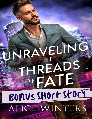## JNRAVELIN FFIRE ADS JAJ A BONUS SHOrt Story ALICE WINTERS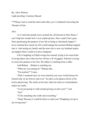By: Alice Winters Light proofing: Courtney Bassett

\*\*\*Please wait to read this short until after you've finished Unraveling the Threads of Fate

## Alex

As I watch the people move around me, all dressed in their finest, I can't help but wonder how I ever ended up here. How could I have gone from questioning the purpose of my life to being so absolutely happy? I never realized how much my life would change the moment Bishop stepped into it. And seeing my family and the man who is now my husband makes me happier than I could ever have imagined.

Cali is laughing as Elijah swings her around, trying to do some kind of swing dance move that sets her off into a fit of giggles. Edward is trying to coerce his partner to her feet. My father is watching from a table.

And Bishop… Bishop is watching me.

"What are you staring at?" Bishop asks.

"You jealous?" I tease.

"Well, I assumed once we were married your eyes would always be fixated only on me forever and ever," he jokes as he glances down at his newly placed ring. The smile on his face when he looks at it immediately makes me smile.

"I was just going to walk around giving you doe eyes?" I ask.

"Yes!"

"I'd be smashing into walls and everything."

"Nope! Because I would be there to catch you! Wrapping you up in my loving arms."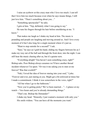I raise an eyebrow at this crazy man who I love too much. I can tell that I love him too much because even when he says insane things, I still just love him. "There's something about you…"

"Something spectacular?" he asks.

I grin at him. "Yep, definitely what I was going to say."

He runs his fingers through his hair before smoldering at me. "I know."

That makes me laugh as I shake my head at him. The music is pounding and people are laughing and moving around us. And I love every moment of it but I also long for a single moment where it's just us.

"Want to step outside for a second?" I ask.

"Sure," he says as I grab his hand, sliding my fingers between his as I make my way out of the hall and through the front door, into the night. I can still hear the music chasing after us, but it's quieter now.

"Everything alright? You haven't seen something crazy, right?" Bishop asks. Poor Bishop always assumes we'll have another thread incident whenever I'm upset. "Or was it me asking you to stare at me forever? Was that overkill?"

"Nah, I loved the idea of forever staring into your soul," I joke. "Forever and ever, just staring at you. Might get a bit awkward at times but I made a commitment. I think it was somewhere in the vows, right?"

"All but when I go to the bathroom."

"Now you're getting picky? We've been married…"—I glance at my watch—"two hours and you're already demanding things."

"That's me. Bishop the Demander!"

I shake my head. "Honestly, I just wanted a moment with only you." His smile widens. "You can have all the moments you want."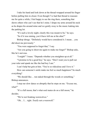I take his hand and look down at the thread wrapped around his finger before pulling him in closer. Even though I've had that thread to reassure me for quite a while, I feel happy to see the ring there, something that shows others who can't see that he's mine. I drape my arms around his neck as he drapes his around mine and we gently sway to the music leaking into the parking lot.

"It's such a lovely night; clearly this was meant to be," he says.

"So if it was raining, you'd have left me at the altar?"

Bishop shrugs. "Definitely would have considered it. I mean… you did shoot me previously."

"You were supposed to forget that," I say.

"Are you going to shoot me again to make me forget?" Bishop asks, like he's nervous.

"I might!" I tease. "Depends whether you straighten up at all."

"I promise to be a good boy," he says. "Don't want you to pull out your ruler and spank me like the bad boy I am."

I can't help but grin at him. "You're so ridiculous and I love it."

How can someone's smile make me feel so much happiness? So much everything?

"We should like… run naked through the woods or something," Bishop announces.

I stop our slow dance so abruptly that he steps on me. "Excuse me, what?"

"It's a full moon, that's what soul mates do on a full moon," he decides.

"We're not freaking werewolves."

"Oh… I… right. *Totally* not a werewolf."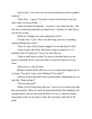I grin at him. "I love you, but you'd one hundred percent be a golden retriever."

"That's fine… I guess if you don't want to be involved in my soul mate ritual, we can go inside…"

I shake my head, but honestly… honestly, I don't hate the idea. "The first one to reach that pond butt-ass naked wins," I declare as I take off at a run into the woods.

"Hold on! I thought you were making fun of me!"

"I totally was," I yell. "Don't you dare snag your tux on anything running through these trees!"

"Alex, it's okay if the tux gets snagged. It's not that big of a deal."

"I plan to pawn this bitch. Who knows what you paid for it. I'd probably faint if I found out," I say as he runs after me.

"I plan to stuff mine so when I'm away on business trips you can spoon it and think of me. I can even make a secret love hole in it if you want."

"Dear god, no. I do not want."

Bishop's cackles follow after me as I try to shake that imagery out of my head. "You don't want a secret Bishop 2.0 love hole?"

I pull my tie free and stuff it into a pocket before unbuttoning my vest and shirt. "Stop saying it!"

"The love hole part?"

"Damn you for being faster than me," I say as I try to outrun him and this conversation. When we reach the pond tucked back from building a far enough distance that no one could tell that we're in it, I shed the clothes, laying them neatly on my shoes so they don't get dirty, and rush for the pond.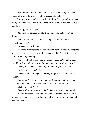I take one step into it and realize that even if the spring air is warm enough, the pond definitely is not. "On second thought—"

Bishop grabs me and drags me in after him. He trips and we both go falling into the water. Thankfully, I keep my head above water as I cling onto him.

"Bishop, it's fucking cold."

"My balls are being sucked back into my body, but I won," he decides.

"Did you? What did you win?" I cling desperately to him. "Frostbitten balls?"

"Yesssss. But I still won."

I'm trying my hardest to suck all warmth from his body by wrapping my arms and legs around him while he paddles. "Don't go farther from shore. What are you doing?"

"We're starting this marriage off strong," he says. "I want to see if you'd be willing to let me drown for my money. It's the ultimate test!"

"Oh my god. There is something wrong with you," I decide.

"We're going… '*Under the sea—*'"

"Do not think breaking out in Disney songs will make this more romantic."

"I don't *think;* I know. Let me try a different one. Let's see… let's see… ooh. Here we go. '*It's really me, it's Bishop, breathe it in—*'"

I shake my head. "No."

"*I know it's a lot, the hair, the bod, when you're staring at a god!*"

"You're not going to win me over with songs from *Moana.* You'd probably win my sister's heart though. God, we had to watch it over and over and over."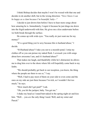I think Bishop decides that maybe I won't be wooed with that one and decides to do another shift, but in the wrong direction. "*Now I know I can be happy as a clam because I'm beautiful, baby—*"

I decide to just drown him before I have to hear more songs about how amazing he is. Immediately, I regret it because he just drags me down into the frigid underworld with him. He gives me a kiss underwater before we both break through the surface.

He comes up with wide eyes. "You really *do* just want me for my money!"

"It's a good thing you're sexy because this is husband abuse," I decide.

"H-Husband abuse? I take you out to a moonlit pond. I strip my clothes off so you can peruse my naked flesh. I *serenade* you with songs about how awesome I am, and it's husband abuse?"

That makes me laugh, and thankfully while he's distracted, he allows me to drag him over to the shore where life will hopefully come back to my limbs.

"We should probably get back to our reception, you know, the thing where the people are there to see *us*," I say.

"Well, I had to pay most of them on your side to even come and the ones on my side are just there because I'm rich, so I wouldn't fret too much," he says.

"How much did I get paid?" I ask.

"Oh, you hit the jackpot, baby. You get me."

I shake my head as I stand butt-naked in the spring night air and kiss him. "Well… you *are* the only thing I need. Well, and my sister and Pascal."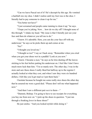"Can we leave Pascal out of it? He's decrepit by this age. He vomited a hairball *into* my shoe. I didn't realize until my foot was *in* the shoe. I literally had to pay someone to clean it up for me."

"You better not have!"

"I just screamed and people came running to clean it up," he says.

"I hope you're joking. Now… how do we dry off? I thought none of this through." I shake my head. "My issue is that I literally just see your face and then do whatever you tell me to do."

"I know. It's adorable. Here, you can dry your face off with my underwear," he says as he picks them up and comes at me.

"No!"

"I thought you loved me."

"I thought so too!" I say as I back away. "Remember when you cried when you got your shoes wet in a puddle? Look at you now."

"I know. I became a *man*," he says as he tries dusting off the leaves sticking to his feet before putting his underwear on. I feel like I don't have much more luck than him. "I'm so manly now. The other day, I was in the store and saw these shoes I really liked but halfway up to the register I actually looked at what they cost, and when I saw they were six hundred dollars, I felt like you'd get mad so I put them back."

I hesitate because he bought me some really nice shoes the other day that he assured me were a good deal. "Please don't tell me what happened next."

"And then I saw a different pair *next* to them—"

"Dammit, Bishop. I'm going to have to see receipts for everything you buy me from now on." I pick up the shoes in question. "I just ran through a freaking *forest* in these shoes!"

He just smiles. "And you looked stylish while doing it."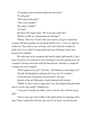"I'm going to put my pond-soaked feet into them." "It's all good." "How much were they?" "They were cheaper!" "By what? A dollar?" "At least!" My heart. My fragile heart. "We're having a talk later." "Before or after we consummate our marriage?"

"Before. That way if I don't like your answer, you get to spend the evening with hand number one and hand number two," I warn as I pull my clothes on. They stick to my wet body, and I can't help but wonder if I smell, but it's my fault for being pulled into one of Bishop's antics just because he's adorable.

We walk back to the reception hall hand in hand, and honestly, I don't know if anyone even noticed we were missing. It was nice getting away for a moment. Having some time with just him and me. Somehow it made the evening even more magical.

"What *happened* to you?" Cali asks. "Did Bishop try drowning you?"

"He did. He thought he could get rid of me, but I'm resilient."

"Is this because of that time you shot him?" she asks.

I glower at her as Elijah grins, clearly pleased with his date.

"Shhhh, we don't want to anger him. I saw him appreciating the knife used to cut the cake earlier," Bishop says.

"I was not! I literally just didn't want to cut the cake with the wrong side!"

"Once I woke up in the middle of the night and he was playing with a rope. When I asked him what the rope was for, he said it was his favorite